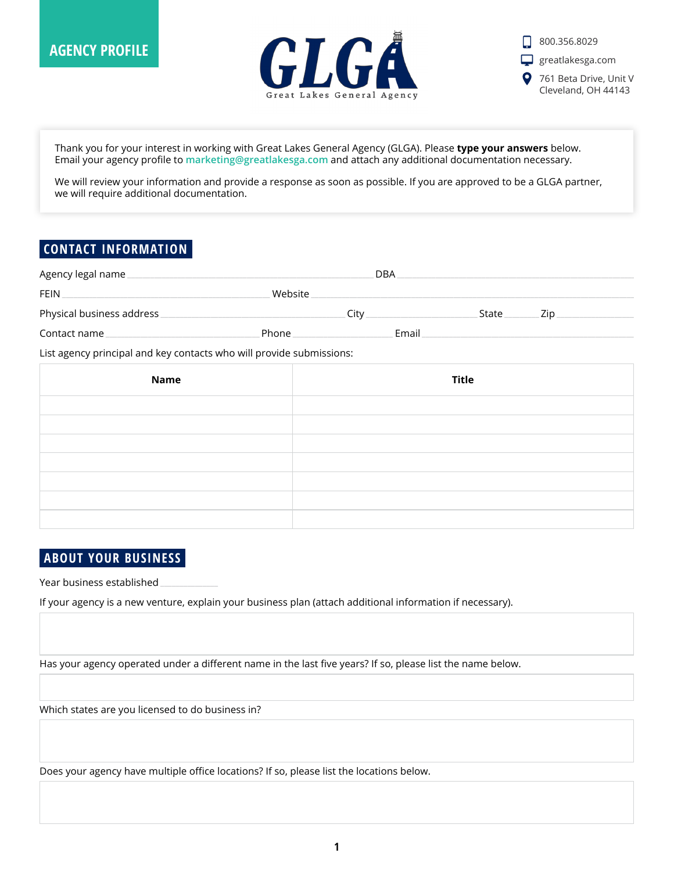



Thank you for your interest in working with Great Lakes General Agency (GLGA). Please **type your answers** below. Email your agency profile to **[marketing@greatlakesga.com](mailto:marketing@greatlakesga.com)** and attach any additional documentation necessary.

We will review your information and provide a response as soon as possible. If you are approved to be a GLGA partner, we will require additional documentation.

#### **CONTACT INFORMATION**

| Agency legal name         |         | <b>DBA</b> |       |     |
|---------------------------|---------|------------|-------|-----|
| FEIN                      | Website |            |       |     |
| Physical business address | Citv    |            | State | Zip |
| Contact name              | Phone   | Email      |       |     |

List agency principal and key contacts who will provide submissions:

| <b>Name</b> | <b>Title</b> |
|-------------|--------------|
|             |              |
|             |              |
|             |              |
|             |              |
|             |              |
|             |              |
|             |              |

### **ABOUT YOUR BUSINESS**

Year business established **\_\_\_\_\_\_\_\_\_\_\_\_\_\_\_**

If your agency is a new venture, explain your business plan (attach additional information if necessary).

Has your agency operated under a different name in the last five years? If so, please list the name below.

Which states are you licensed to do business in?

Does your agency have multiple office locations? If so, please list the locations below.